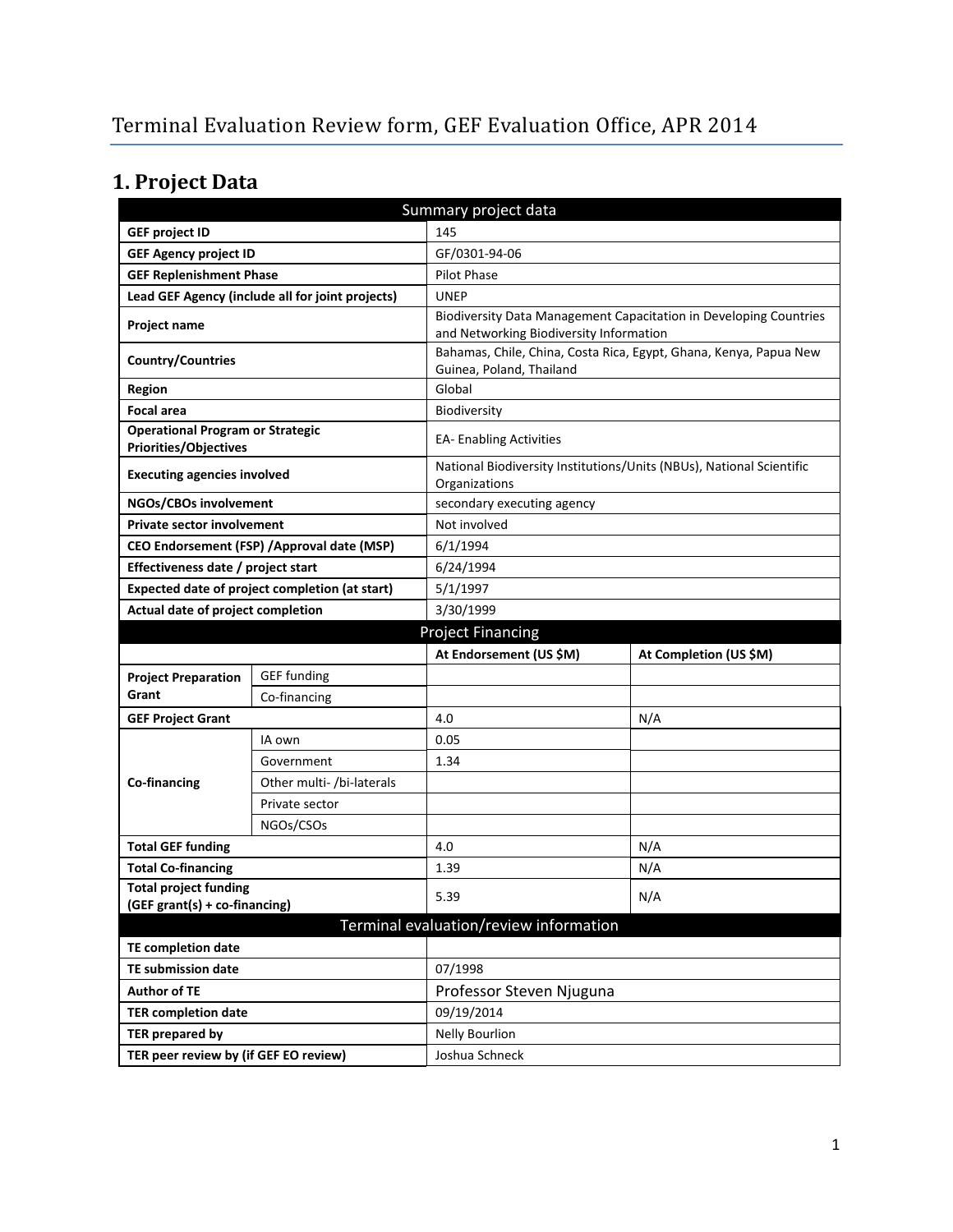# **1. Project Data**

| Summary project data                                                    |                                                |                                                                                               |                                                                   |  |  |
|-------------------------------------------------------------------------|------------------------------------------------|-----------------------------------------------------------------------------------------------|-------------------------------------------------------------------|--|--|
| <b>GEF project ID</b>                                                   |                                                | 145                                                                                           |                                                                   |  |  |
| <b>GEF Agency project ID</b>                                            |                                                | GF/0301-94-06                                                                                 |                                                                   |  |  |
| <b>GEF Replenishment Phase</b>                                          |                                                | <b>Pilot Phase</b>                                                                            |                                                                   |  |  |
| Lead GEF Agency (include all for joint projects)                        |                                                | <b>UNEP</b>                                                                                   |                                                                   |  |  |
| Project name                                                            |                                                | and Networking Biodiversity Information                                                       | Biodiversity Data Management Capacitation in Developing Countries |  |  |
| <b>Country/Countries</b>                                                |                                                | Bahamas, Chile, China, Costa Rica, Egypt, Ghana, Kenya, Papua New<br>Guinea, Poland, Thailand |                                                                   |  |  |
| Region                                                                  |                                                | Global                                                                                        |                                                                   |  |  |
| <b>Focal area</b>                                                       |                                                | Biodiversity                                                                                  |                                                                   |  |  |
| <b>Operational Program or Strategic</b><br><b>Priorities/Objectives</b> |                                                | <b>EA- Enabling Activities</b>                                                                |                                                                   |  |  |
| <b>Executing agencies involved</b>                                      |                                                | National Biodiversity Institutions/Units (NBUs), National Scientific<br>Organizations         |                                                                   |  |  |
| NGOs/CBOs involvement                                                   |                                                | secondary executing agency                                                                    |                                                                   |  |  |
| <b>Private sector involvement</b>                                       |                                                | Not involved                                                                                  |                                                                   |  |  |
|                                                                         | CEO Endorsement (FSP) / Approval date (MSP)    | 6/1/1994                                                                                      |                                                                   |  |  |
| Effectiveness date / project start                                      |                                                | 6/24/1994                                                                                     |                                                                   |  |  |
|                                                                         | Expected date of project completion (at start) | 5/1/1997                                                                                      |                                                                   |  |  |
| Actual date of project completion                                       |                                                | 3/30/1999                                                                                     |                                                                   |  |  |
|                                                                         |                                                | <b>Project Financing</b>                                                                      |                                                                   |  |  |
|                                                                         |                                                | At Endorsement (US \$M)                                                                       | At Completion (US \$M)                                            |  |  |
| <b>Project Preparation</b>                                              | <b>GEF</b> funding                             |                                                                                               |                                                                   |  |  |
| Grant                                                                   | Co-financing                                   |                                                                                               |                                                                   |  |  |
| <b>GEF Project Grant</b>                                                |                                                | 4.0                                                                                           | N/A                                                               |  |  |
|                                                                         |                                                |                                                                                               |                                                                   |  |  |
|                                                                         | IA own                                         | 0.05                                                                                          |                                                                   |  |  |
|                                                                         | Government                                     | 1.34                                                                                          |                                                                   |  |  |
| Co-financing                                                            | Other multi- /bi-laterals                      |                                                                                               |                                                                   |  |  |
|                                                                         | Private sector                                 |                                                                                               |                                                                   |  |  |
|                                                                         | NGOs/CSOs                                      |                                                                                               |                                                                   |  |  |
| <b>Total GEF funding</b>                                                |                                                | 4.0                                                                                           | N/A                                                               |  |  |
| <b>Total Co-financing</b>                                               |                                                | 1.39                                                                                          | N/A                                                               |  |  |
| <b>Total project funding</b>                                            |                                                |                                                                                               |                                                                   |  |  |
| (GEF grant(s) + co-financing)                                           |                                                | 5.39                                                                                          | N/A                                                               |  |  |
|                                                                         |                                                | Terminal evaluation/review information                                                        |                                                                   |  |  |
| <b>TE completion date</b>                                               |                                                |                                                                                               |                                                                   |  |  |
| <b>TE submission date</b>                                               |                                                | 07/1998                                                                                       |                                                                   |  |  |
| <b>Author of TE</b>                                                     |                                                | Professor Steven Njuguna                                                                      |                                                                   |  |  |
| <b>TER completion date</b>                                              |                                                | 09/19/2014                                                                                    |                                                                   |  |  |
| <b>TER prepared by</b>                                                  |                                                | <b>Nelly Bourlion</b>                                                                         |                                                                   |  |  |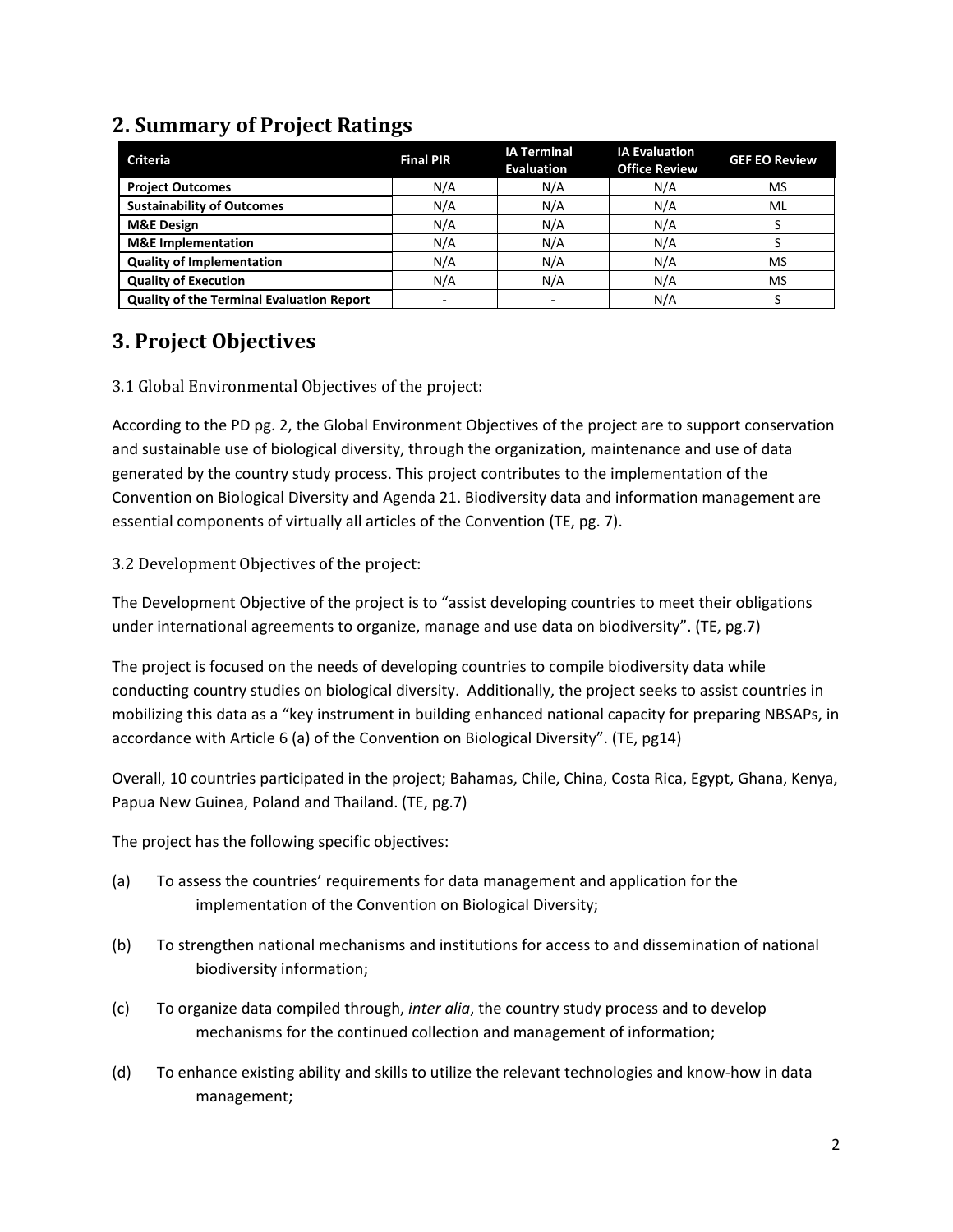| <b>Criteria</b>                                  | <b>Final PIR</b>         | <b>IA Terminal</b><br><b>Evaluation</b> | <b>IA Evaluation</b><br><b>Office Review</b> | <b>GEF EO Review</b> |
|--------------------------------------------------|--------------------------|-----------------------------------------|----------------------------------------------|----------------------|
| <b>Project Outcomes</b>                          | N/A                      | N/A                                     | N/A                                          | <b>MS</b>            |
| <b>Sustainability of Outcomes</b>                | N/A                      | N/A                                     | N/A                                          | ML                   |
| <b>M&amp;E Design</b>                            | N/A                      | N/A                                     | N/A                                          |                      |
| <b>M&amp;E</b> Implementation                    | N/A                      | N/A                                     | N/A                                          |                      |
| <b>Quality of Implementation</b>                 | N/A                      | N/A                                     | N/A                                          | MS                   |
| <b>Quality of Execution</b>                      | N/A                      | N/A                                     | N/A                                          | MS                   |
| <b>Quality of the Terminal Evaluation Report</b> | $\overline{\phantom{a}}$ |                                         | N/A                                          |                      |

## **2. Summary of Project Ratings**

### **3. Project Objectives**

#### 3.1 Global Environmental Objectives of the project:

According to the PD pg. 2, the Global Environment Objectives of the project are to support conservation and sustainable use of biological diversity, through the organization, maintenance and use of data generated by the country study process. This project contributes to the implementation of the Convention on Biological Diversity and Agenda 21. Biodiversity data and information management are essential components of virtually all articles of the Convention (TE, pg. 7).

#### 3.2 Development Objectives of the project:

The Development Objective of the project is to "assist developing countries to meet their obligations under international agreements to organize, manage and use data on biodiversity". (TE, pg.7)

The project is focused on the needs of developing countries to compile biodiversity data while conducting country studies on biological diversity. Additionally, the project seeks to assist countries in mobilizing this data as a "key instrument in building enhanced national capacity for preparing NBSAPs, in accordance with Article 6 (a) of the Convention on Biological Diversity". (TE, pg14)

Overall, 10 countries participated in the project; Bahamas, Chile, China, Costa Rica, Egypt, Ghana, Kenya, Papua New Guinea, Poland and Thailand. (TE, pg.7)

The project has the following specific objectives:

- (a) To assess the countries' requirements for data management and application for the implementation of the Convention on Biological Diversity;
- (b) To strengthen national mechanisms and institutions for access to and dissemination of national biodiversity information;
- (c) To organize data compiled through, *inter alia*, the country study process and to develop mechanisms for the continued collection and management of information;
- (d) To enhance existing ability and skills to utilize the relevant technologies and know-how in data management;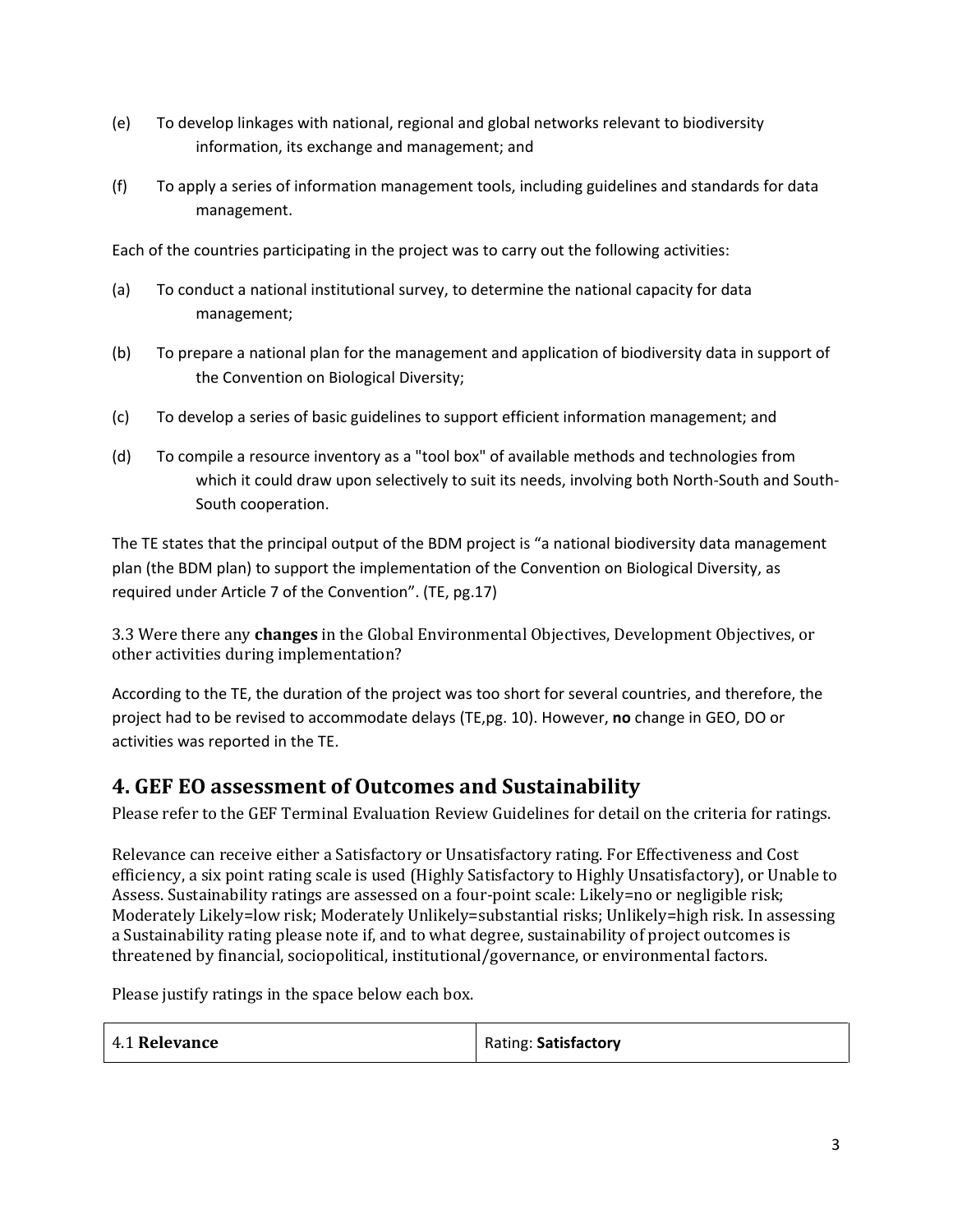- (e) To develop linkages with national, regional and global networks relevant to biodiversity information, its exchange and management; and
- (f) To apply a series of information management tools, including guidelines and standards for data management.

Each of the countries participating in the project was to carry out the following activities:

- (a) To conduct a national institutional survey, to determine the national capacity for data management;
- (b) To prepare a national plan for the management and application of biodiversity data in support of the Convention on Biological Diversity;
- (c) To develop a series of basic guidelines to support efficient information management; and
- (d) To compile a resource inventory as a "tool box" of available methods and technologies from which it could draw upon selectively to suit its needs, involving both North-South and South-South cooperation.

The TE states that the principal output of the BDM project is "a national biodiversity data management plan (the BDM plan) to support the implementation of the Convention on Biological Diversity, as required under Article 7 of the Convention". (TE, pg.17)

3.3 Were there any **changes** in the Global Environmental Objectives, Development Objectives, or other activities during implementation?

According to the TE, the duration of the project was too short for several countries, and therefore, the project had to be revised to accommodate delays (TE,pg. 10). However, **no** change in GEO, DO or activities was reported in the TE.

### **4. GEF EO assessment of Outcomes and Sustainability**

Please refer to the GEF Terminal Evaluation Review Guidelines for detail on the criteria for ratings.

Relevance can receive either a Satisfactory or Unsatisfactory rating. For Effectiveness and Cost efficiency, a six point rating scale is used (Highly Satisfactory to Highly Unsatisfactory), or Unable to Assess. Sustainability ratings are assessed on a four-point scale: Likely=no or negligible risk; Moderately Likely=low risk; Moderately Unlikely=substantial risks; Unlikely=high risk. In assessing a Sustainability rating please note if, and to what degree, sustainability of project outcomes is threatened by financial, sociopolitical, institutional/governance, or environmental factors.

Please justify ratings in the space below each box.

| 4.1 Relevance | Rating: Satisfactory |
|---------------|----------------------|
|---------------|----------------------|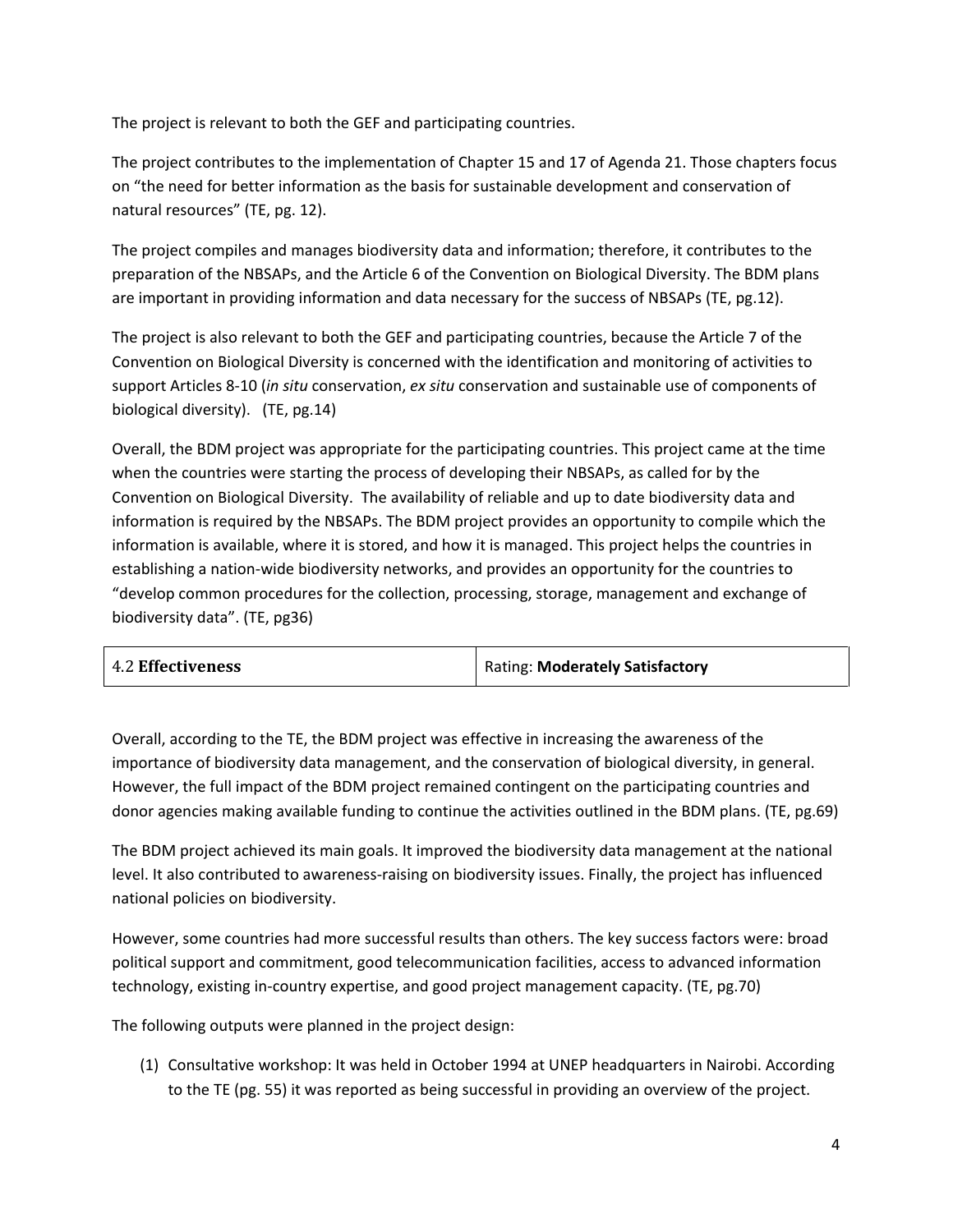The project is relevant to both the GEF and participating countries.

The project contributes to the implementation of Chapter 15 and 17 of Agenda 21. Those chapters focus on "the need for better information as the basis for sustainable development and conservation of natural resources" (TE, pg. 12).

The project compiles and manages biodiversity data and information; therefore, it contributes to the preparation of the NBSAPs, and the Article 6 of the Convention on Biological Diversity. The BDM plans are important in providing information and data necessary for the success of NBSAPs (TE, pg.12).

The project is also relevant to both the GEF and participating countries, because the Article 7 of the Convention on Biological Diversity is concerned with the identification and monitoring of activities to support Articles 8-10 (*in situ* conservation, *ex situ* conservation and sustainable use of components of biological diversity). (TE, pg.14)

Overall, the BDM project was appropriate for the participating countries. This project came at the time when the countries were starting the process of developing their NBSAPs, as called for by the Convention on Biological Diversity. The availability of reliable and up to date biodiversity data and information is required by the NBSAPs. The BDM project provides an opportunity to compile which the information is available, where it is stored, and how it is managed. This project helps the countries in establishing a nation-wide biodiversity networks, and provides an opportunity for the countries to "develop common procedures for the collection, processing, storage, management and exchange of biodiversity data". (TE, pg36)

| <b>4.2 Effectiveness</b> | Rating: Moderately Satisfactory |
|--------------------------|---------------------------------|
|--------------------------|---------------------------------|

Overall, according to the TE, the BDM project was effective in increasing the awareness of the importance of biodiversity data management, and the conservation of biological diversity, in general. However, the full impact of the BDM project remained contingent on the participating countries and donor agencies making available funding to continue the activities outlined in the BDM plans. (TE, pg.69)

The BDM project achieved its main goals. It improved the biodiversity data management at the national level. It also contributed to awareness-raising on biodiversity issues. Finally, the project has influenced national policies on biodiversity.

However, some countries had more successful results than others. The key success factors were: broad political support and commitment, good telecommunication facilities, access to advanced information technology, existing in-country expertise, and good project management capacity. (TE, pg.70)

The following outputs were planned in the project design:

(1) Consultative workshop: It was held in October 1994 at UNEP headquarters in Nairobi. According to the TE (pg. 55) it was reported as being successful in providing an overview of the project.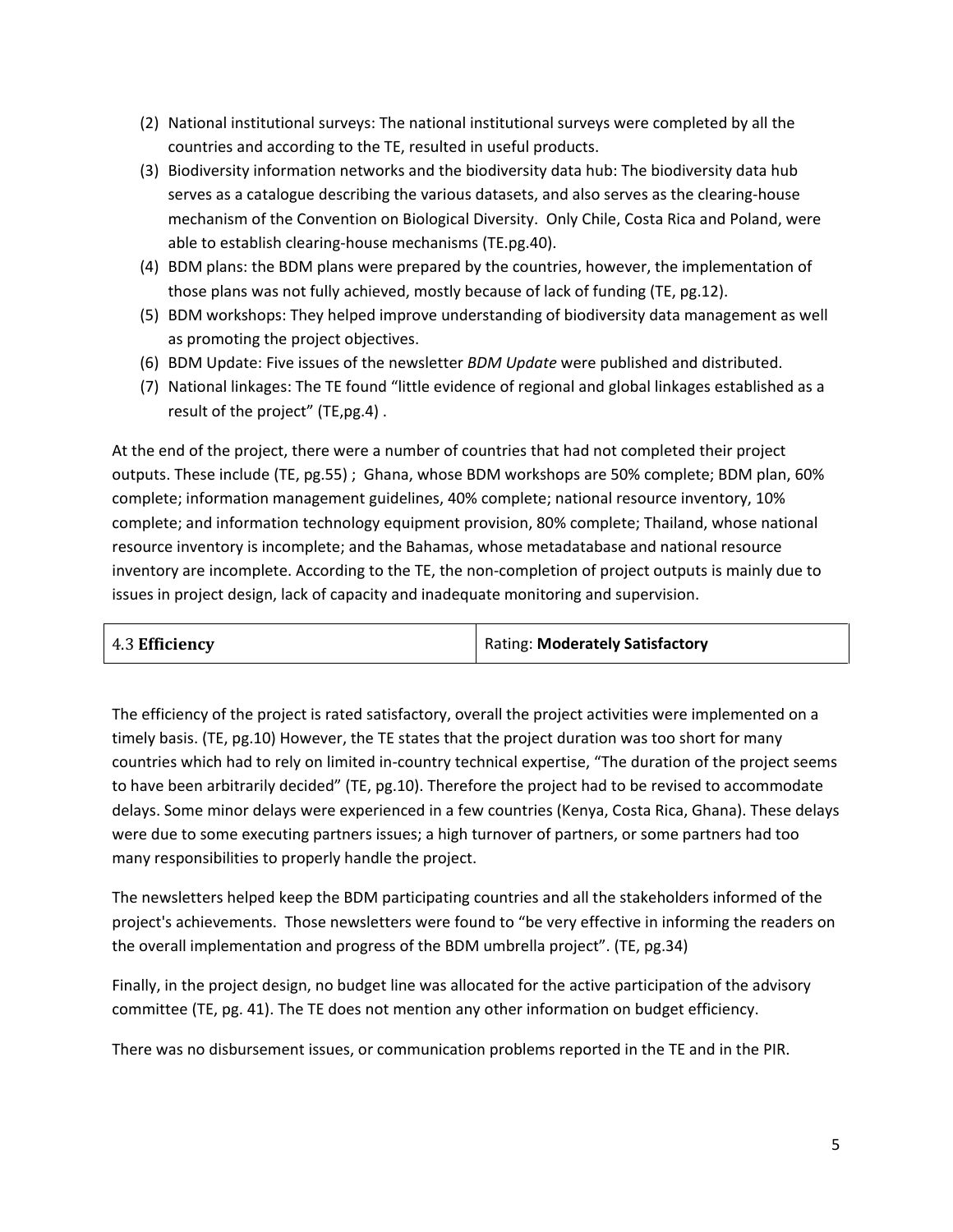- (2) National institutional surveys: The national institutional surveys were completed by all the countries and according to the TE, resulted in useful products.
- (3) Biodiversity information networks and the biodiversity data hub: The biodiversity data hub serves as a catalogue describing the various datasets, and also serves as the clearing-house mechanism of the Convention on Biological Diversity. Only Chile, Costa Rica and Poland, were able to establish clearing-house mechanisms (TE.pg.40).
- (4) BDM plans: the BDM plans were prepared by the countries, however, the implementation of those plans was not fully achieved, mostly because of lack of funding (TE, pg.12).
- (5) BDM workshops: They helped improve understanding of biodiversity data management as well as promoting the project objectives.
- (6) BDM Update: Five issues of the newsletter *BDM Update* were published and distributed.
- (7) National linkages: The TE found "little evidence of regional and global linkages established as a result of the project" (TE,pg.4) .

At the end of the project, there were a number of countries that had not completed their project outputs. These include (TE, pg.55) ; Ghana, whose BDM workshops are 50% complete; BDM plan, 60% complete; information management guidelines, 40% complete; national resource inventory, 10% complete; and information technology equipment provision, 80% complete; Thailand, whose national resource inventory is incomplete; and the Bahamas, whose metadatabase and national resource inventory are incomplete. According to the TE, the non-completion of project outputs is mainly due to issues in project design, lack of capacity and inadequate monitoring and supervision.

| 4.3 Efficiency | Rating: Moderately Satisfactory |
|----------------|---------------------------------|
|----------------|---------------------------------|

The efficiency of the project is rated satisfactory, overall the project activities were implemented on a timely basis. (TE, pg.10) However, the TE states that the project duration was too short for many countries which had to rely on limited in-country technical expertise, "The duration of the project seems to have been arbitrarily decided" (TE, pg.10). Therefore the project had to be revised to accommodate delays. Some minor delays were experienced in a few countries (Kenya, Costa Rica, Ghana). These delays were due to some executing partners issues; a high turnover of partners, or some partners had too many responsibilities to properly handle the project.

The newsletters helped keep the BDM participating countries and all the stakeholders informed of the project's achievements. Those newsletters were found to "be very effective in informing the readers on the overall implementation and progress of the BDM umbrella project". (TE, pg.34)

Finally, in the project design, no budget line was allocated for the active participation of the advisory committee (TE, pg. 41). The TE does not mention any other information on budget efficiency.

There was no disbursement issues, or communication problems reported in the TE and in the PIR.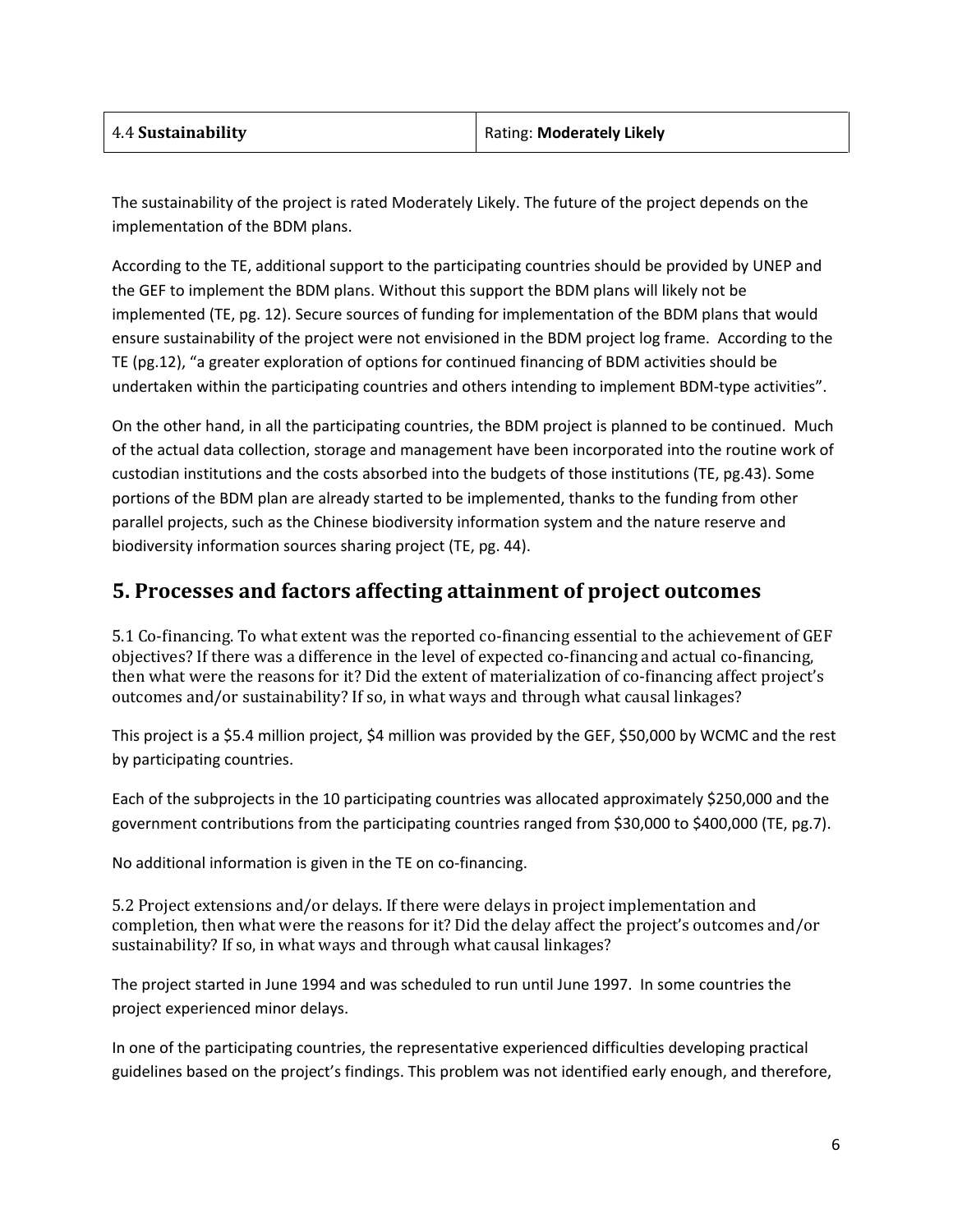| 4.4 Sustainability | Rating: Moderately Likely |
|--------------------|---------------------------|
|--------------------|---------------------------|

The sustainability of the project is rated Moderately Likely. The future of the project depends on the implementation of the BDM plans.

According to the TE, additional support to the participating countries should be provided by UNEP and the GEF to implement the BDM plans. Without this support the BDM plans will likely not be implemented (TE, pg. 12). Secure sources of funding for implementation of the BDM plans that would ensure sustainability of the project were not envisioned in the BDM project log frame. According to the TE (pg.12), "a greater exploration of options for continued financing of BDM activities should be undertaken within the participating countries and others intending to implement BDM-type activities".

On the other hand, in all the participating countries, the BDM project is planned to be continued. Much of the actual data collection, storage and management have been incorporated into the routine work of custodian institutions and the costs absorbed into the budgets of those institutions (TE, pg.43). Some portions of the BDM plan are already started to be implemented, thanks to the funding from other parallel projects, such as the Chinese biodiversity information system and the nature reserve and biodiversity information sources sharing project (TE, pg. 44).

### **5. Processes and factors affecting attainment of project outcomes**

5.1 Co-financing. To what extent was the reported co-financing essential to the achievement of GEF objectives? If there was a difference in the level of expected co-financing and actual co-financing, then what were the reasons for it? Did the extent of materialization of co-financing affect project's outcomes and/or sustainability? If so, in what ways and through what causal linkages?

This project is a \$5.4 million project, \$4 million was provided by the GEF, \$50,000 by WCMC and the rest by participating countries.

Each of the subprojects in the 10 participating countries was allocated approximately \$250,000 and the government contributions from the participating countries ranged from \$30,000 to \$400,000 (TE, pg.7).

No additional information is given in the TE on co-financing.

5.2 Project extensions and/or delays. If there were delays in project implementation and completion, then what were the reasons for it? Did the delay affect the project's outcomes and/or sustainability? If so, in what ways and through what causal linkages?

The project started in June 1994 and was scheduled to run until June 1997. In some countries the project experienced minor delays.

In one of the participating countries, the representative experienced difficulties developing practical guidelines based on the project's findings. This problem was not identified early enough, and therefore,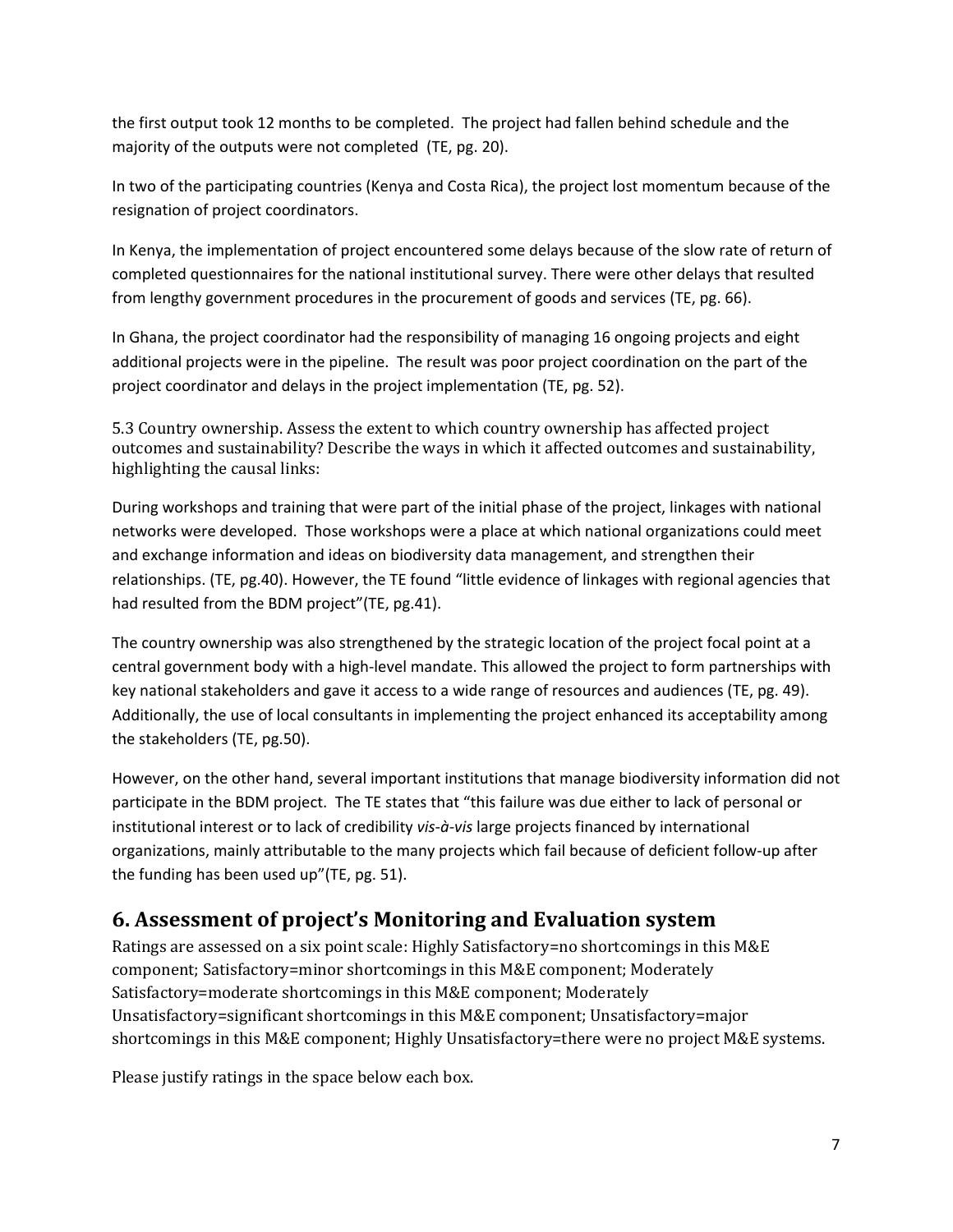the first output took 12 months to be completed. The project had fallen behind schedule and the majority of the outputs were not completed (TE, pg. 20).

In two of the participating countries (Kenya and Costa Rica), the project lost momentum because of the resignation of project coordinators.

In Kenya, the implementation of project encountered some delays because of the slow rate of return of completed questionnaires for the national institutional survey. There were other delays that resulted from lengthy government procedures in the procurement of goods and services (TE, pg. 66).

In Ghana, the project coordinator had the responsibility of managing 16 ongoing projects and eight additional projects were in the pipeline. The result was poor project coordination on the part of the project coordinator and delays in the project implementation (TE, pg. 52).

5.3 Country ownership. Assess the extent to which country ownership has affected project outcomes and sustainability? Describe the ways in which it affected outcomes and sustainability, highlighting the causal links:

During workshops and training that were part of the initial phase of the project, linkages with national networks were developed. Those workshops were a place at which national organizations could meet and exchange information and ideas on biodiversity data management, and strengthen their relationships. (TE, pg.40). However, the TE found "little evidence of linkages with regional agencies that had resulted from the BDM project"(TE, pg.41).

The country ownership was also strengthened by the strategic location of the project focal point at a central government body with a high-level mandate. This allowed the project to form partnerships with key national stakeholders and gave it access to a wide range of resources and audiences (TE, pg. 49). Additionally, the use of local consultants in implementing the project enhanced its acceptability among the stakeholders (TE, pg.50).

However, on the other hand, several important institutions that manage biodiversity information did not participate in the BDM project. The TE states that "this failure was due either to lack of personal or institutional interest or to lack of credibility *vis-à-vis* large projects financed by international organizations, mainly attributable to the many projects which fail because of deficient follow-up after the funding has been used up"(TE, pg. 51).

#### **6. Assessment of project's Monitoring and Evaluation system**

Ratings are assessed on a six point scale: Highly Satisfactory=no shortcomings in this M&E component; Satisfactory=minor shortcomings in this M&E component; Moderately Satisfactory=moderate shortcomings in this M&E component; Moderately Unsatisfactory=significant shortcomings in this M&E component; Unsatisfactory=major shortcomings in this M&E component; Highly Unsatisfactory=there were no project M&E systems.

Please justify ratings in the space below each box.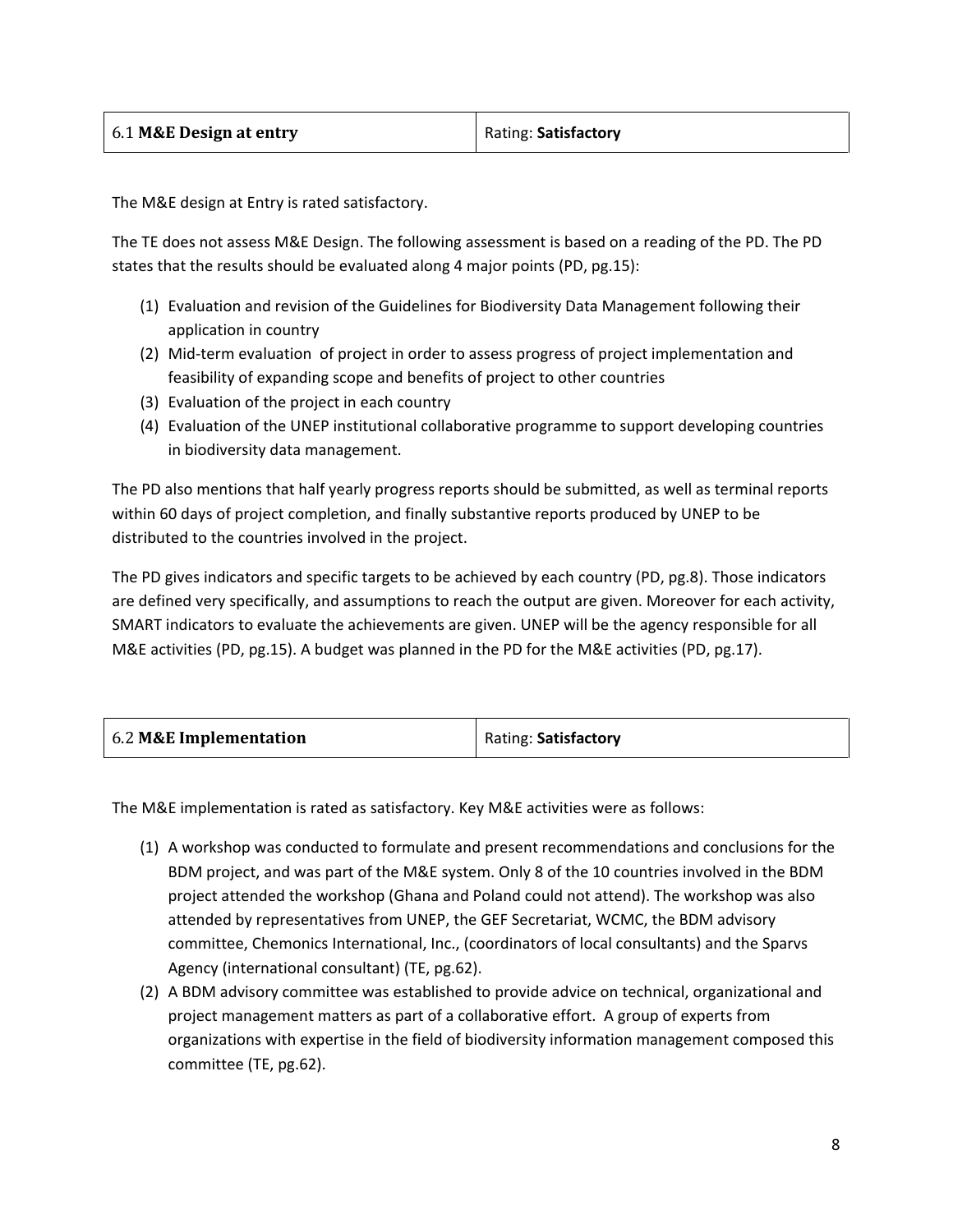The M&E design at Entry is rated satisfactory.

The TE does not assess M&E Design. The following assessment is based on a reading of the PD. The PD states that the results should be evaluated along 4 major points (PD, pg.15):

- (1) Evaluation and revision of the Guidelines for Biodiversity Data Management following their application in country
- (2) Mid-term evaluation of project in order to assess progress of project implementation and feasibility of expanding scope and benefits of project to other countries
- (3) Evaluation of the project in each country
- (4) Evaluation of the UNEP institutional collaborative programme to support developing countries in biodiversity data management.

The PD also mentions that half yearly progress reports should be submitted, as well as terminal reports within 60 days of project completion, and finally substantive reports produced by UNEP to be distributed to the countries involved in the project.

The PD gives indicators and specific targets to be achieved by each country (PD, pg.8). Those indicators are defined very specifically, and assumptions to reach the output are given. Moreover for each activity, SMART indicators to evaluate the achievements are given. UNEP will be the agency responsible for all M&E activities (PD, pg.15). A budget was planned in the PD for the M&E activities (PD, pg.17).

| 6.2 M&E Implementation | Rating: Satisfactory |
|------------------------|----------------------|
|------------------------|----------------------|

The M&E implementation is rated as satisfactory. Key M&E activities were as follows:

- (1) A workshop was conducted to formulate and present recommendations and conclusions for the BDM project, and was part of the M&E system. Only 8 of the 10 countries involved in the BDM project attended the workshop (Ghana and Poland could not attend). The workshop was also attended by representatives from UNEP, the GEF Secretariat, WCMC, the BDM advisory committee, Chemonics International, Inc., (coordinators of local consultants) and the Sparvs Agency (international consultant) (TE, pg.62).
- (2) A BDM advisory committee was established to provide advice on technical, organizational and project management matters as part of a collaborative effort. A group of experts from organizations with expertise in the field of biodiversity information management composed this committee (TE, pg.62).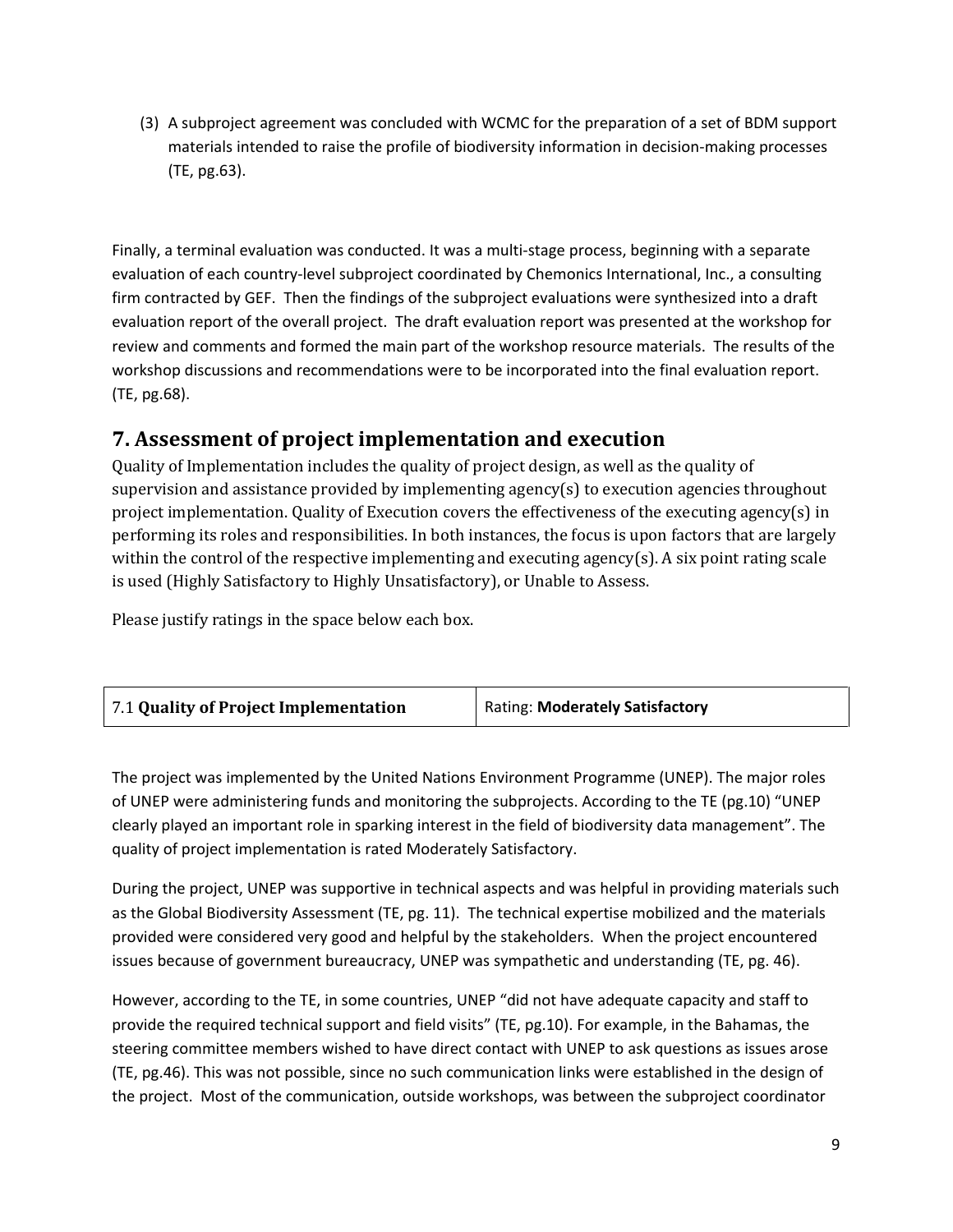(3) A subproject agreement was concluded with WCMC for the preparation of a set of BDM support materials intended to raise the profile of biodiversity information in decision-making processes (TE, pg.63).

Finally, a terminal evaluation was conducted. It was a multi-stage process, beginning with a separate evaluation of each country-level subproject coordinated by Chemonics International, Inc., a consulting firm contracted by GEF. Then the findings of the subproject evaluations were synthesized into a draft evaluation report of the overall project. The draft evaluation report was presented at the workshop for review and comments and formed the main part of the workshop resource materials. The results of the workshop discussions and recommendations were to be incorporated into the final evaluation report. (TE, pg.68).

### **7. Assessment of project implementation and execution**

Quality of Implementation includes the quality of project design, as well as the quality of supervision and assistance provided by implementing agency(s) to execution agencies throughout project implementation. Quality of Execution covers the effectiveness of the executing agency(s) in performing its roles and responsibilities. In both instances, the focus is upon factors that are largely within the control of the respective implementing and executing agency(s). A six point rating scale is used (Highly Satisfactory to Highly Unsatisfactory), or Unable to Assess.

Please justify ratings in the space below each box.

| Rating: Moderately Satisfactory |
|---------------------------------|
|                                 |

The project was implemented by the United Nations Environment Programme (UNEP). The major roles of UNEP were administering funds and monitoring the subprojects. According to the TE (pg.10) "UNEP clearly played an important role in sparking interest in the field of biodiversity data management". The quality of project implementation is rated Moderately Satisfactory.

During the project, UNEP was supportive in technical aspects and was helpful in providing materials such as the Global Biodiversity Assessment (TE, pg. 11). The technical expertise mobilized and the materials provided were considered very good and helpful by the stakeholders. When the project encountered issues because of government bureaucracy, UNEP was sympathetic and understanding (TE, pg. 46).

However, according to the TE, in some countries, UNEP "did not have adequate capacity and staff to provide the required technical support and field visits" (TE, pg.10). For example, in the Bahamas, the steering committee members wished to have direct contact with UNEP to ask questions as issues arose (TE, pg.46). This was not possible, since no such communication links were established in the design of the project. Most of the communication, outside workshops, was between the subproject coordinator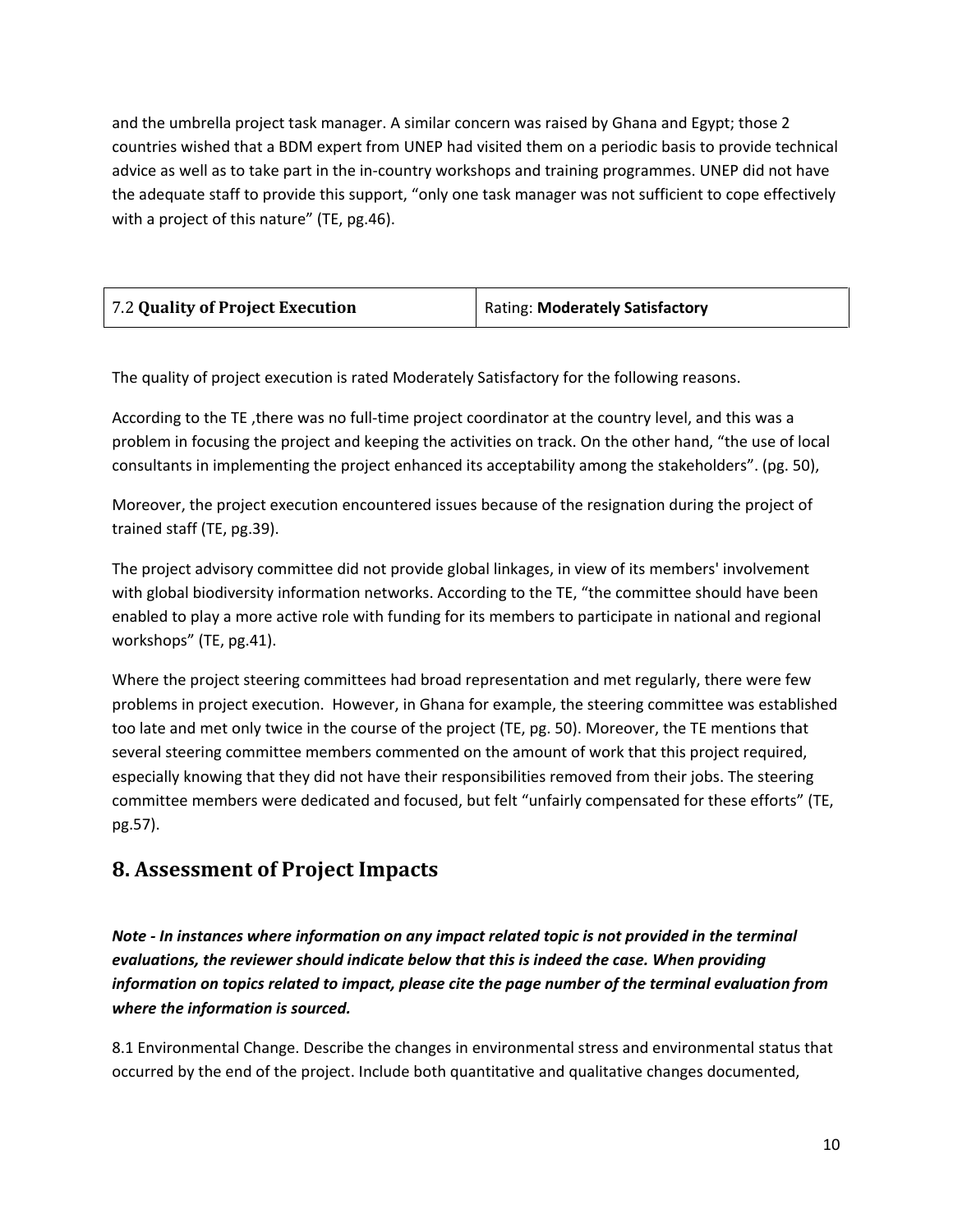and the umbrella project task manager. A similar concern was raised by Ghana and Egypt; those 2 countries wished that a BDM expert from UNEP had visited them on a periodic basis to provide technical advice as well as to take part in the in-country workshops and training programmes. UNEP did not have the adequate staff to provide this support, "only one task manager was not sufficient to cope effectively with a project of this nature" (TE, pg.46).

| 7.2 Quality of Project Execution | Rating: Moderately Satisfactory |
|----------------------------------|---------------------------------|
|                                  |                                 |

The quality of project execution is rated Moderately Satisfactory for the following reasons.

According to the TE ,there was no full-time project coordinator at the country level, and this was a problem in focusing the project and keeping the activities on track. On the other hand, "the use of local consultants in implementing the project enhanced its acceptability among the stakeholders". (pg. 50),

Moreover, the project execution encountered issues because of the resignation during the project of trained staff (TE, pg.39).

The project advisory committee did not provide global linkages, in view of its members' involvement with global biodiversity information networks. According to the TE, "the committee should have been enabled to play a more active role with funding for its members to participate in national and regional workshops" (TE, pg.41).

Where the project steering committees had broad representation and met regularly, there were few problems in project execution. However, in Ghana for example, the steering committee was established too late and met only twice in the course of the project (TE, pg. 50). Moreover, the TE mentions that several steering committee members commented on the amount of work that this project required, especially knowing that they did not have their responsibilities removed from their jobs. The steering committee members were dedicated and focused, but felt "unfairly compensated for these efforts" (TE, pg.57).

#### **8. Assessment of Project Impacts**

*Note - In instances where information on any impact related topic is not provided in the terminal evaluations, the reviewer should indicate below that this is indeed the case. When providing information on topics related to impact, please cite the page number of the terminal evaluation from where the information is sourced.* 

8.1 Environmental Change. Describe the changes in environmental stress and environmental status that occurred by the end of the project. Include both quantitative and qualitative changes documented,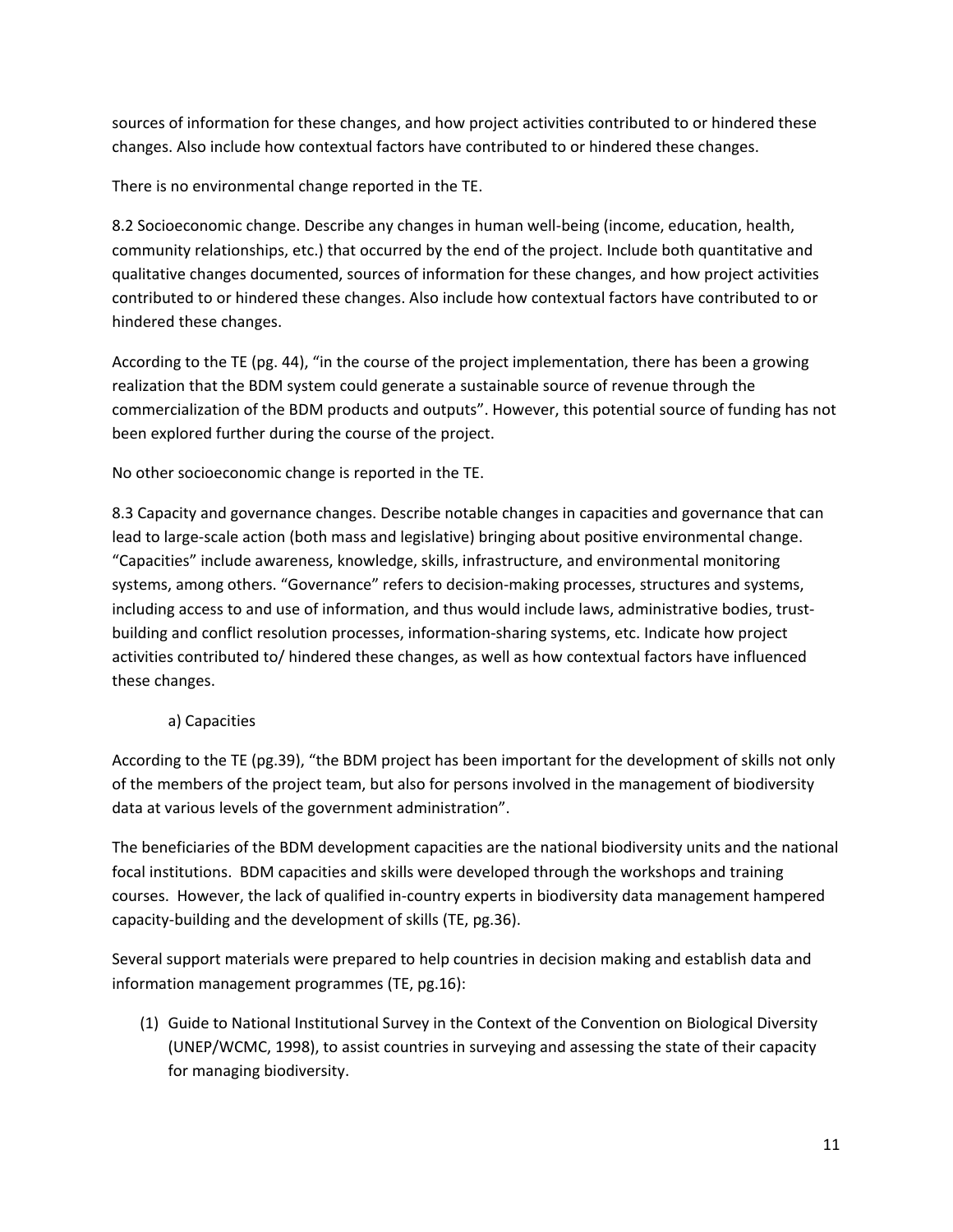sources of information for these changes, and how project activities contributed to or hindered these changes. Also include how contextual factors have contributed to or hindered these changes.

There is no environmental change reported in the TE.

8.2 Socioeconomic change. Describe any changes in human well-being (income, education, health, community relationships, etc.) that occurred by the end of the project. Include both quantitative and qualitative changes documented, sources of information for these changes, and how project activities contributed to or hindered these changes. Also include how contextual factors have contributed to or hindered these changes.

According to the TE (pg. 44), "in the course of the project implementation, there has been a growing realization that the BDM system could generate a sustainable source of revenue through the commercialization of the BDM products and outputs". However, this potential source of funding has not been explored further during the course of the project.

No other socioeconomic change is reported in the TE.

8.3 Capacity and governance changes. Describe notable changes in capacities and governance that can lead to large-scale action (both mass and legislative) bringing about positive environmental change. "Capacities" include awareness, knowledge, skills, infrastructure, and environmental monitoring systems, among others. "Governance" refers to decision-making processes, structures and systems, including access to and use of information, and thus would include laws, administrative bodies, trustbuilding and conflict resolution processes, information-sharing systems, etc. Indicate how project activities contributed to/ hindered these changes, as well as how contextual factors have influenced these changes.

#### a) Capacities

According to the TE (pg.39), "the BDM project has been important for the development of skills not only of the members of the project team, but also for persons involved in the management of biodiversity data at various levels of the government administration".

The beneficiaries of the BDM development capacities are the national biodiversity units and the national focal institutions. BDM capacities and skills were developed through the workshops and training courses. However, the lack of qualified in-country experts in biodiversity data management hampered capacity-building and the development of skills (TE, pg.36).

Several support materials were prepared to help countries in decision making and establish data and information management programmes (TE, pg.16):

(1) Guide to National Institutional Survey in the Context of the Convention on Biological Diversity (UNEP/WCMC, 1998), to assist countries in surveying and assessing the state of their capacity for managing biodiversity.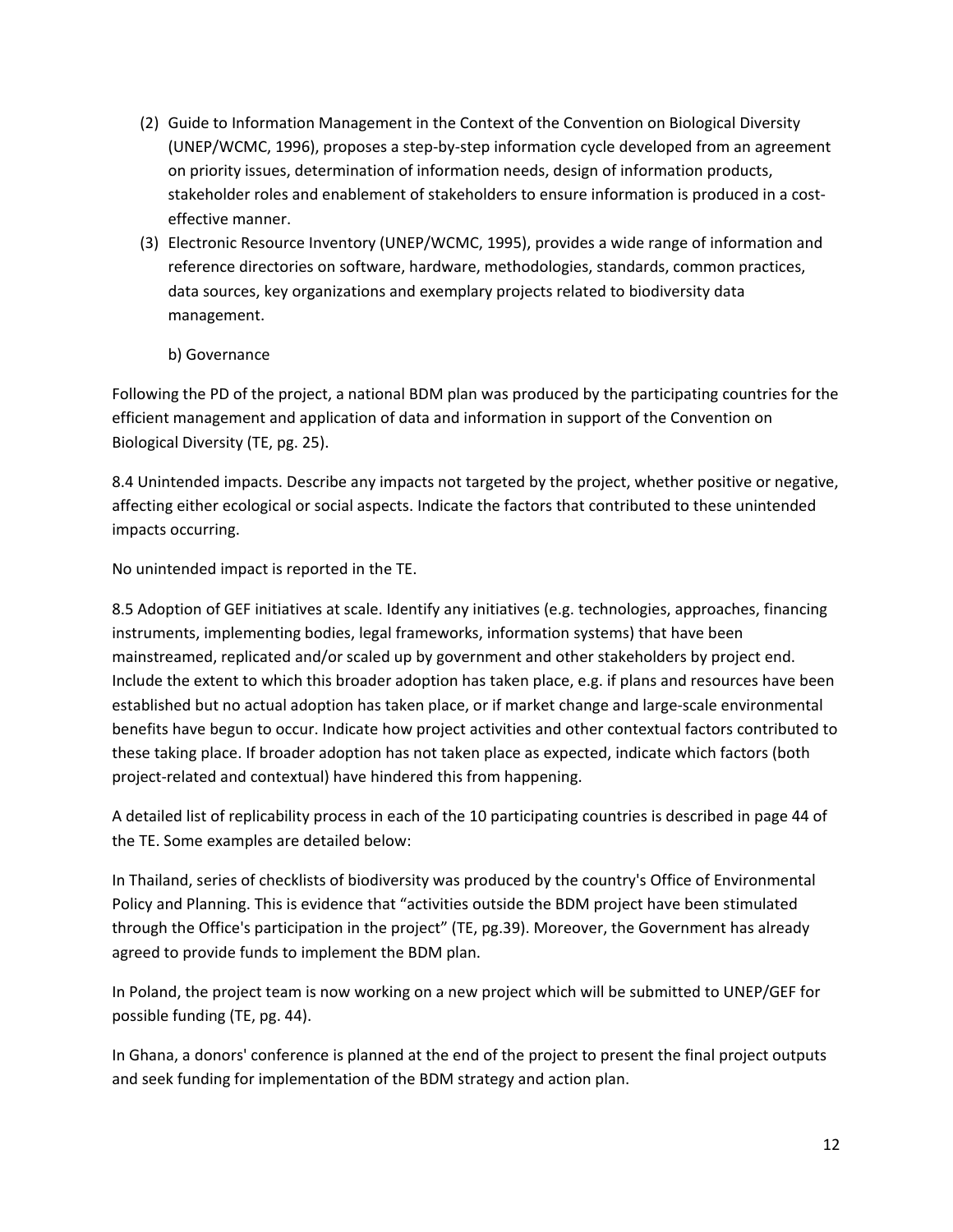- (2) Guide to Information Management in the Context of the Convention on Biological Diversity (UNEP/WCMC, 1996), proposes a step-by-step information cycle developed from an agreement on priority issues, determination of information needs, design of information products, stakeholder roles and enablement of stakeholders to ensure information is produced in a costeffective manner.
- (3) Electronic Resource Inventory (UNEP/WCMC, 1995), provides a wide range of information and reference directories on software, hardware, methodologies, standards, common practices, data sources, key organizations and exemplary projects related to biodiversity data management.
	- b) Governance

Following the PD of the project, a national BDM plan was produced by the participating countries for the efficient management and application of data and information in support of the Convention on Biological Diversity (TE, pg. 25).

8.4 Unintended impacts. Describe any impacts not targeted by the project, whether positive or negative, affecting either ecological or social aspects. Indicate the factors that contributed to these unintended impacts occurring.

No unintended impact is reported in the TE.

8.5 Adoption of GEF initiatives at scale. Identify any initiatives (e.g. technologies, approaches, financing instruments, implementing bodies, legal frameworks, information systems) that have been mainstreamed, replicated and/or scaled up by government and other stakeholders by project end. Include the extent to which this broader adoption has taken place, e.g. if plans and resources have been established but no actual adoption has taken place, or if market change and large-scale environmental benefits have begun to occur. Indicate how project activities and other contextual factors contributed to these taking place. If broader adoption has not taken place as expected, indicate which factors (both project-related and contextual) have hindered this from happening.

A detailed list of replicability process in each of the 10 participating countries is described in page 44 of the TE. Some examples are detailed below:

In Thailand, series of checklists of biodiversity was produced by the country's Office of Environmental Policy and Planning. This is evidence that "activities outside the BDM project have been stimulated through the Office's participation in the project" (TE, pg.39). Moreover, the Government has already agreed to provide funds to implement the BDM plan.

In Poland, the project team is now working on a new project which will be submitted to UNEP/GEF for possible funding (TE, pg. 44).

In Ghana, a donors' conference is planned at the end of the project to present the final project outputs and seek funding for implementation of the BDM strategy and action plan.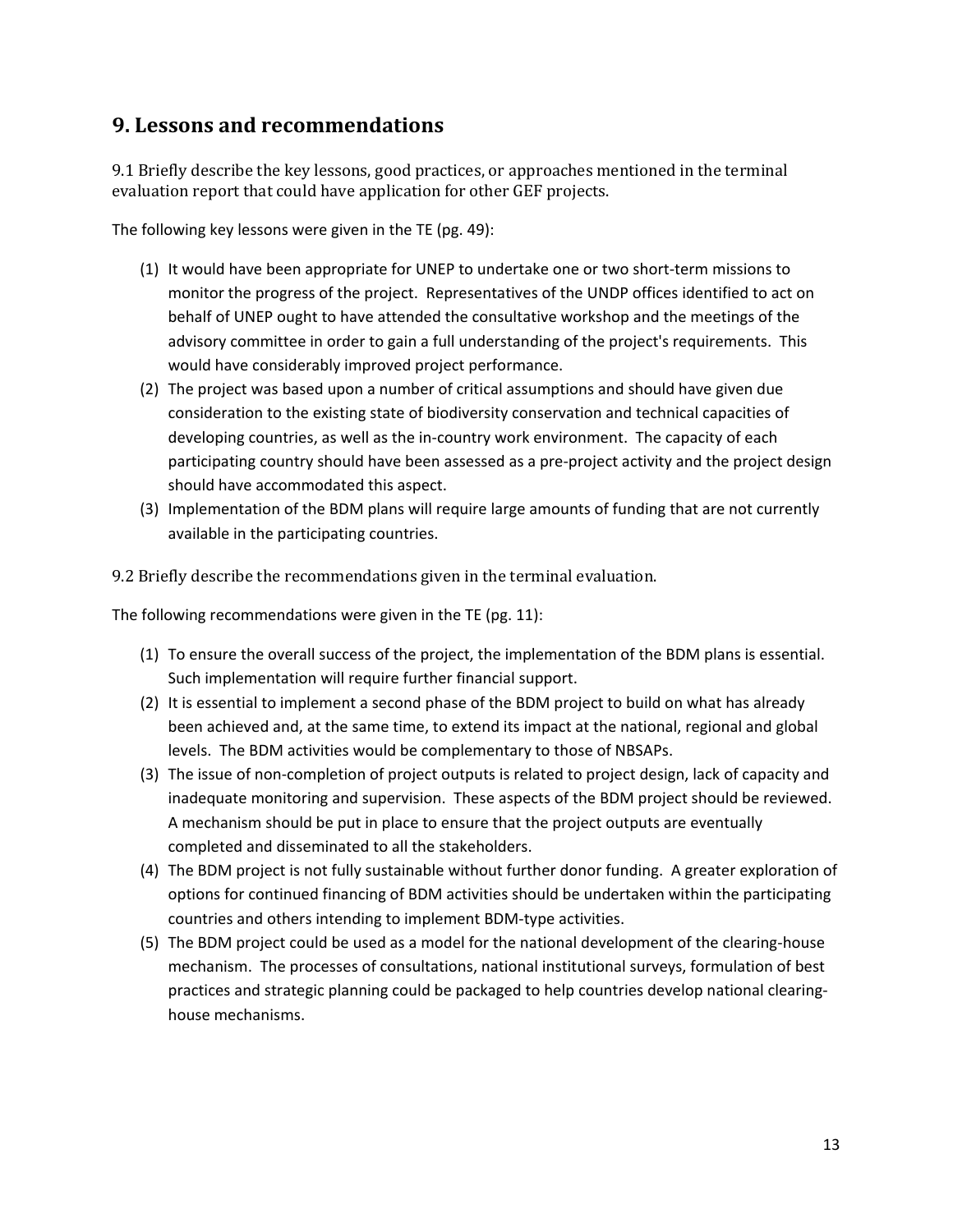### **9. Lessons and recommendations**

9.1 Briefly describe the key lessons, good practices, or approaches mentioned in the terminal evaluation report that could have application for other GEF projects.

The following key lessons were given in the TE (pg. 49):

- (1) It would have been appropriate for UNEP to undertake one or two short-term missions to monitor the progress of the project. Representatives of the UNDP offices identified to act on behalf of UNEP ought to have attended the consultative workshop and the meetings of the advisory committee in order to gain a full understanding of the project's requirements. This would have considerably improved project performance.
- (2) The project was based upon a number of critical assumptions and should have given due consideration to the existing state of biodiversity conservation and technical capacities of developing countries, as well as the in-country work environment. The capacity of each participating country should have been assessed as a pre-project activity and the project design should have accommodated this aspect.
- (3) Implementation of the BDM plans will require large amounts of funding that are not currently available in the participating countries.

9.2 Briefly describe the recommendations given in the terminal evaluation.

The following recommendations were given in the TE (pg. 11):

- (1) To ensure the overall success of the project, the implementation of the BDM plans is essential. Such implementation will require further financial support.
- (2) It is essential to implement a second phase of the BDM project to build on what has already been achieved and, at the same time, to extend its impact at the national, regional and global levels. The BDM activities would be complementary to those of NBSAPs.
- (3) The issue of non-completion of project outputs is related to project design, lack of capacity and inadequate monitoring and supervision. These aspects of the BDM project should be reviewed. A mechanism should be put in place to ensure that the project outputs are eventually completed and disseminated to all the stakeholders.
- (4) The BDM project is not fully sustainable without further donor funding. A greater exploration of options for continued financing of BDM activities should be undertaken within the participating countries and others intending to implement BDM-type activities.
- (5) The BDM project could be used as a model for the national development of the clearing-house mechanism. The processes of consultations, national institutional surveys, formulation of best practices and strategic planning could be packaged to help countries develop national clearinghouse mechanisms.